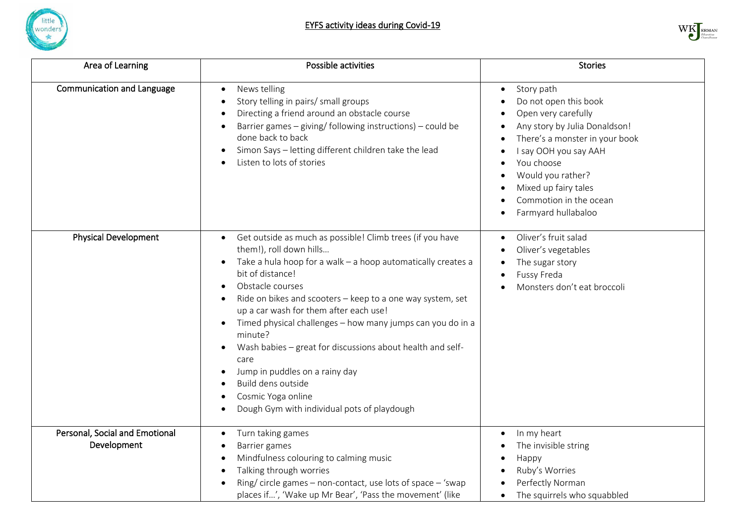



| Area of Learning                              | Possible activities                                                                                                                                                                                                                                                                                                                                                                                                                                                                                                                                                                                                     | <b>Stories</b>                                                                                                                                                                                                                                                                  |
|-----------------------------------------------|-------------------------------------------------------------------------------------------------------------------------------------------------------------------------------------------------------------------------------------------------------------------------------------------------------------------------------------------------------------------------------------------------------------------------------------------------------------------------------------------------------------------------------------------------------------------------------------------------------------------------|---------------------------------------------------------------------------------------------------------------------------------------------------------------------------------------------------------------------------------------------------------------------------------|
| <b>Communication and Language</b>             | News telling<br>$\bullet$<br>Story telling in pairs/ small groups<br>Directing a friend around an obstacle course<br>Barrier games $-$ giving/ following instructions) $-$ could be<br>done back to back<br>Simon Says - letting different children take the lead<br>Listen to lots of stories                                                                                                                                                                                                                                                                                                                          | Story path<br>$\bullet$<br>Do not open this book<br>Open very carefully<br>Any story by Julia Donaldson!<br>There's a monster in your book<br>I say OOH you say AAH<br>You choose<br>Would you rather?<br>Mixed up fairy tales<br>Commotion in the ocean<br>Farmyard hullabaloo |
| <b>Physical Development</b>                   | Get outside as much as possible! Climb trees (if you have<br>$\bullet$<br>them!), roll down hills<br>Take a hula hoop for a walk - a hoop automatically creates a<br>bit of distance!<br>Obstacle courses<br>Ride on bikes and scooters - keep to a one way system, set<br>up a car wash for them after each use!<br>Timed physical challenges - how many jumps can you do in a<br>$\bullet$<br>minute?<br>Wash babies - great for discussions about health and self-<br>$\bullet$<br>care<br>Jump in puddles on a rainy day<br>Build dens outside<br>Cosmic Yoga online<br>Dough Gym with individual pots of playdough | Oliver's fruit salad<br>Oliver's vegetables<br>$\bullet$<br>The sugar story<br>$\bullet$<br>Fussy Freda<br>$\bullet$<br>Monsters don't eat broccoli                                                                                                                             |
| Personal, Social and Emotional<br>Development | Turn taking games<br>Barrier games<br>Mindfulness colouring to calming music<br>Talking through worries<br>Ring/circle games - non-contact, use lots of space - 'swap<br>places if', 'Wake up Mr Bear', 'Pass the movement' (like                                                                                                                                                                                                                                                                                                                                                                                       | In my heart<br>The invisible string<br>Happy<br>Ruby's Worries<br>Perfectly Norman<br>The squirrels who squabbled                                                                                                                                                               |